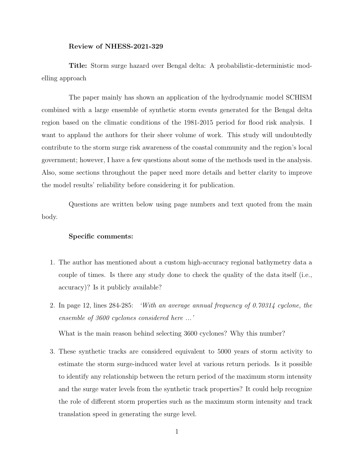## Review of NHESS-2021-329

Title: Storm surge hazard over Bengal delta: A probabilistic-deterministic modelling approach

The paper mainly has shown an application of the hydrodynamic model SCHISM combined with a large ensemble of synthetic storm events generated for the Bengal delta region based on the climatic conditions of the 1981-2015 period for flood risk analysis. I want to applaud the authors for their sheer volume of work. This study will undoubtedly contribute to the storm surge risk awareness of the coastal community and the region's local government; however, I have a few questions about some of the methods used in the analysis. Also, some sections throughout the paper need more details and better clarity to improve the model results' reliability before considering it for publication.

Questions are written below using page numbers and text quoted from the main body.

## Specific comments:

- 1. The author has mentioned about a custom high-accuracy regional bathymetry data a couple of times. Is there any study done to check the quality of the data itself (i.e., accuracy)? Is it publicly available?
- 2. In page 12, lines 284-285: 'With an average annual frequency of 0.70314 cyclone, the ensemble of 3600 cyclones considered here ...'

What is the main reason behind selecting 3600 cyclones? Why this number?

3. These synthetic tracks are considered equivalent to 5000 years of storm activity to estimate the storm surge-induced water level at various return periods. Is it possible to identify any relationship between the return period of the maximum storm intensity and the surge water levels from the synthetic track properties? It could help recognize the role of different storm properties such as the maximum storm intensity and track translation speed in generating the surge level.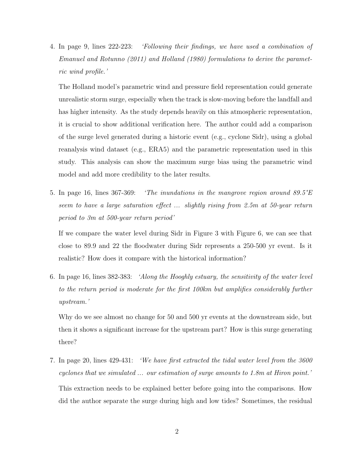4. In page 9, lines 222-223: 'Following their findings, we have used a combination of Emanuel and Rotunno (2011) and Holland (1980) formulations to derive the parametric wind profile.'

The Holland model's parametric wind and pressure field representation could generate unrealistic storm surge, especially when the track is slow-moving before the landfall and has higher intensity. As the study depends heavily on this atmospheric representation, it is crucial to show additional verification here. The author could add a comparison of the surge level generated during a historic event (e.g., cyclone Sidr), using a global reanalysis wind dataset (e.g., ERA5) and the parametric representation used in this study. This analysis can show the maximum surge bias using the parametric wind model and add more credibility to the later results.

5. In page 16, lines 367-369: 'The inundations in the mangrove region around 89.5°E seem to have a large saturation effect ... slightly rising from 2.5m at 50-year return period to 3m at 500-year return period'

If we compare the water level during Sidr in Figure 3 with Figure 6, we can see that close to 89.9 and 22 the floodwater during Sidr represents a 250-500 yr event. Is it realistic? How does it compare with the historical information?

6. In page 16, lines 382-383: 'Along the Hooghly estuary, the sensitivity of the water level to the return period is moderate for the first 100km but amplifies considerably further upstream.'

Why do we see almost no change for 50 and 500 yr events at the downstream side, but then it shows a significant increase for the upstream part? How is this surge generating there?

7. In page 20, lines 429-431: 'We have first extracted the tidal water level from the 3600 cyclones that we simulated ... our estimation of surge amounts to 1.8m at Hiron point.' This extraction needs to be explained better before going into the comparisons. How did the author separate the surge during high and low tides? Sometimes, the residual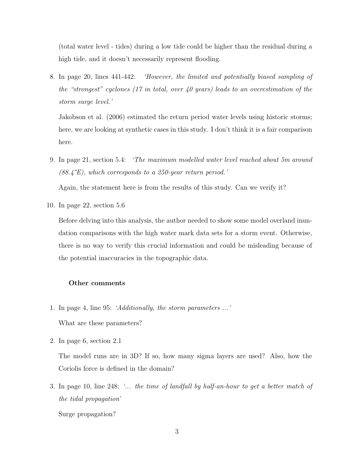(total water level - tides) during a low tide could be higher than the residual during a high tide, and it doesn't necessarily represent flooding.

8. In page 20, lines 441-442: 'However, the limited and potentially biased sampling of the "strongest" cyclones (17 in total, over 40 years) leads to an overestimation of the storm surge level.'

Jakobson et al. (2006) estimated the return period water levels using historic storms; here, we are looking at synthetic cases in this study. I don't think it is a fair comparison here.

9. In page 21, section 5.4: 'The maximum modelled water level reached about 5m around  $(88.4^{\circ}E)$ , which corresponds to a 250-year return period.'

Again, the statement here is from the results of this study. Can we verify it?

10. In page 22, section 5.6

Before delving into this analysis, the author needed to show some model overland inundation comparisons with the high water mark data sets for a storm event. Otherwise, there is no way to verify this crucial information and could be misleading because of the potential inaccuracies in the topographic data.

## Other comments

- 1. In page 4, line 95: 'Additionally, the storm parameters ...' What are these parameters?
- 2. In page 6, section 2.1

The model runs are in 3D? If so, how many sigma layers are used? Also, how the Coriolis force is defined in the domain?

3. In page 10, line 248: '... the time of landfall by half-an-hour to get a better match of the tidal propagation'

Surge propagation?